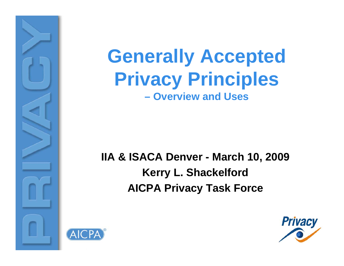



#### **IIA & ISACA Denver - March 10, 2009 Kerry L. Shackelford AICPA Privacy Task Force**



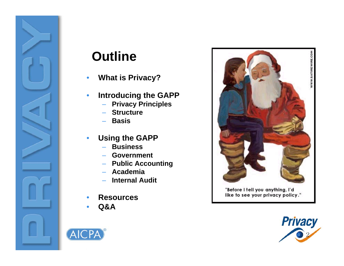



#### **Outline**

- $\bullet$ **What is Privacy?**
- $\bullet$  **Introducing the GAPP**
	- –**Privacy Principles**
	- –**Structure**
	- **Basis**
- $\bullet$  **Using the GAPP**
	- **Business**
	- **Government**
	- **Public Accounting**
	- –**Academia**
	- **Internal Audit**
- •**Resources**
- •**Q&A**



"Before I tell you anything, I'd like to see your privacy policy."

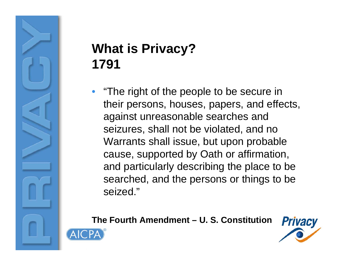# **What is Privacy? 1791**

• "The right of the people to be secure in their persons, houses, papers, and effects, against unreasonable searches and seizures, shall not be violated, and no Warrants shall issue, but upon probable cause, supported by Oath or affirmation, and particularly describing the place to be searched, and the persons or things to be seized."

#### **The Fourth Amendment – U. S. Constitution**



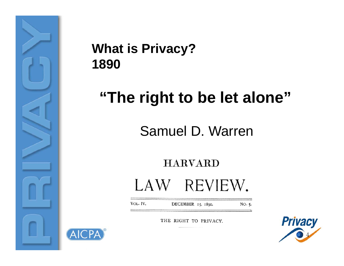

AICPA

#### **What is Privacy? 1890**

# **"The right to be let alone"**

Samuel D. Warren

**HARVARD** LAW REVIEW.

VOL. IV. DECEMBER 15, 1890. NO. 5.

THE RIGHT TO PRIVACY.

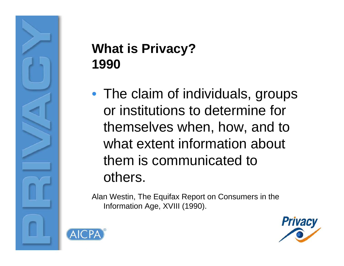# **What is Privacy? 1990**

• The claim of individuals, groups or institutions to determine for themselves when, how, and to what extent information about them is communicated to others.

Alan Westin, The Equifax Report on Consumers in the Information Age, XVIII (1990).



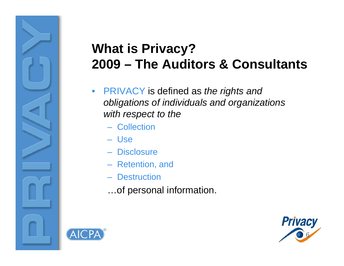#### **What is Privacy? 2009 – The Auditors & Consultants**

- $\bullet$  PRIVACY is defined as *the rights and obligations of individuals and organizations with respect to the the*
	- Collection
	- Use
	- Disclosure
	- Retention, and
	- Destruction
	- …of personal information.



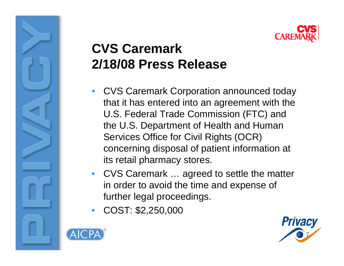

### **CVS Caremark2/18/08 Press Release**

- CVS Caremark Corporation announced today that it has entered into an agreement with the U.S. Federal Trade Commission (FTC) and the U.S. Department of Health and Human Services Office for Civil Rights (OCR) concerning disposal of patient information at its retail pharmacy stores.
- • CVS Caremark … agreed to settle the matter in order to avoid the time and expense of further legal proceedings.
- •COST: \$2,250,000



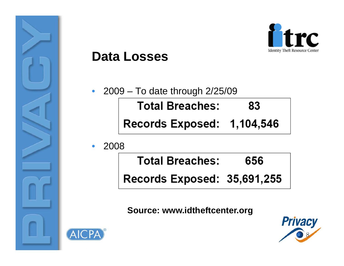



#### **Data Losses**

- 2009 To date through 2/25/09 **Total Breaches:** 83 Records Exposed: 1,104,546
- •2008

 $\bullet$ 

| <b>Total Breaches:</b>      | 656 |
|-----------------------------|-----|
| Records Exposed: 35,691,255 |     |

**Source: www.idtheftcenter.org**



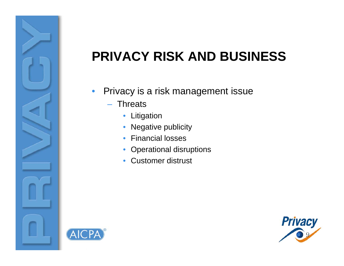# **PRIVACY RISK AND BUSINESS**

- $\bullet$  Privacy is a risk management issue
	- –**Threats** 
		- Litigation
		- Negative publicity
		- Financial losses
		- Operational disruptions
		- Customer distrust



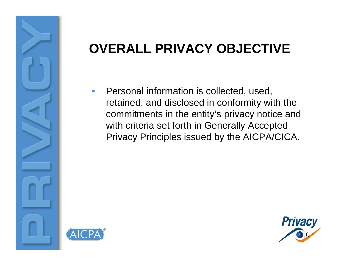### **OVERALL PRIVACY OBJECTIVE**

• Personal information is collected, used, retained, and disclosed in conformity with the commitments in the entity's privacy notice and with criteria set forth in Generally Accepted Privacy Principles issued by the AICPA/CICA.



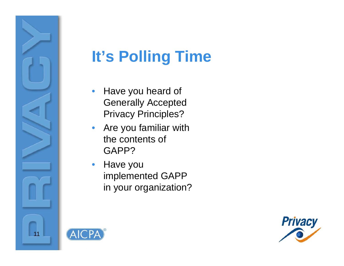

**AICPA** 

# **It's Polling Time**

- $\bullet$  Have you heard of Generally Accepted Privacy Principles?
- $\bullet$  Are you familiar with the contents of GAPP?
- $\bullet$  Have you implemented GAPP in your organization?

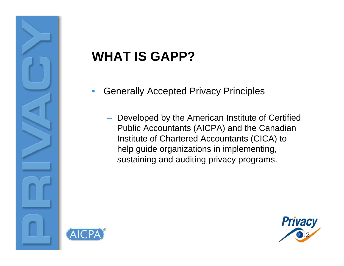# **WHAT IS GAPP?**

- • Generally Accepted Privacy Principles
	- $-$  Developed by the American Institute of Certified Public Accountants (AICPA) and the Canadian Institute of Chartered Accountants (CICA) to help guide organizations in implementing, sustaining and auditing privacy programs.



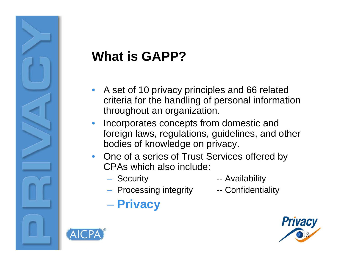# **What is GAPP?**

- • A set of 10 privacy principles and 66 related criteria for the handling of personal information throughout an organization.
- • Incorporates concepts from domestic and foreign laws, regulations, guidelines, and other bodies of knowledge on privacy.
- One of a series of Trust Services offered by CPAs which also include:
	- Securit
- y -- Availabilit y
	- Processing integrity -- Confidentiality
- 

**Privacy**



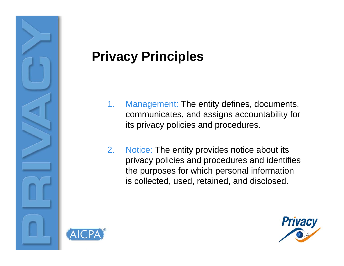

- 1. Management: The entity defines, documents, communicates, and assigns accountability for its privacy policies and procedures.
- 2.Notice: The entity provides notice about its privacy policies and procedures and identifies the purposes for which personal information is collected, used, retained, and disclosed.



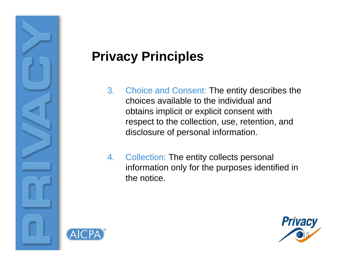

- 3. Choice and Consent: The entity describes the choices available to the individual and obtains implicit or explicit consent with respect to the collection, use, retention, and disclosure of personal information.
- 4. Collection: The entity collects personal information only for the purposes identified in the notice.

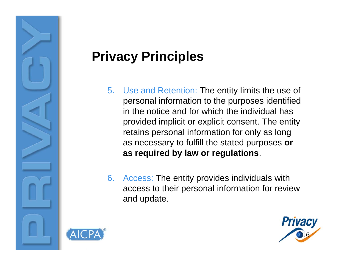

- 5. Use and Retention: The entity limits the use of personal information to the purposes identified in the notice and for which the individual has provided implicit or explicit consent. The entity retains personal information for only as long as necessary to fulfill the stated purposes **or as required by law or regulations**.
- 6. Access: The entity provides individuals with access to their personal information for review and update.



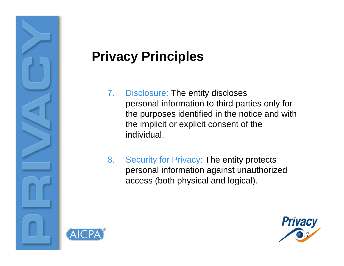

- 7. Disclosure: The entity discloses personal information to third parties only for the purposes identified in the notice and with the implicit or explicit consent of the individual.
- 8. Security for Privacy: The entity protects personal information against unauthorized access (both physical and logical).



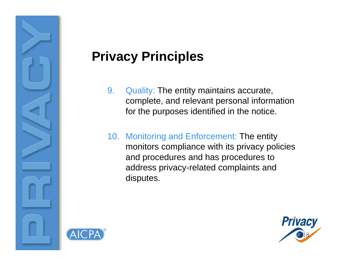

- 9. Quality: The entity maintains accurate, complete, and relevant personal information for the purposes identified in the notice.
- 10. Monitoring and Enforcement: The entity monitors compliance with its privacy policies and procedures and has procedures to address privacy-related complaints and disputes.



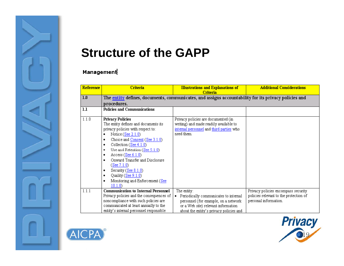

#### **Structure of the GAPP**

#### Management

| <b>Reference</b> | Criteria                                                                                                                                                                                                                                                                                                                                                                                                                                         | <b>Illustrations and Explanations of</b><br>Criteria                                                                                                                             | <b>Additional Considerations</b>                                                                       |  |  |  |
|------------------|--------------------------------------------------------------------------------------------------------------------------------------------------------------------------------------------------------------------------------------------------------------------------------------------------------------------------------------------------------------------------------------------------------------------------------------------------|----------------------------------------------------------------------------------------------------------------------------------------------------------------------------------|--------------------------------------------------------------------------------------------------------|--|--|--|
| 1.0              | The entity defines, documents, communicates, and assigns accountability for its privacy policies and                                                                                                                                                                                                                                                                                                                                             |                                                                                                                                                                                  |                                                                                                        |  |  |  |
|                  | procedures.                                                                                                                                                                                                                                                                                                                                                                                                                                      |                                                                                                                                                                                  |                                                                                                        |  |  |  |
| 1.1              | <b>Policies and Communications</b>                                                                                                                                                                                                                                                                                                                                                                                                               |                                                                                                                                                                                  |                                                                                                        |  |  |  |
| 1.1.0            | <b>Privacy Policies</b><br>The entity defines and documents its<br>privacy policies with respect to:<br>Notice $(See 2.1.0)$<br>٠<br>Choice and Consent (See 3.1.0)<br>٠<br>Collection $(See 4.1.0)$<br>٠<br>Use and Retention (See 5.1.0)<br>٠<br>Access $(See 6.1.0)$<br>٠<br>Onward Transfer and Disclosure<br>٠<br>(See 7.1.0)<br>Security (See $8.1.0$ )<br>٠<br>Quality (See 9.1.0)<br>٠<br>Monitoring and Enforcement (See<br>٠<br>10.1.0 | Privacy policies are documented (in<br>writing) and made readily available to<br>internal personnel and third parties who<br>need them.                                          |                                                                                                        |  |  |  |
| 1.1.1            | <b>Communication to Internal Personnel</b><br>Privacy policies and the consequences of<br>noncompliance with such policies are<br>communicated at least annually to the<br>entity's internal personnel responsible                                                                                                                                                                                                                               | The entity:<br>• Periodically communicates to internal<br>personnel (for example, on a network<br>or a Web site) relevant information<br>about the entity's privacy policies and | Privacy policies encompass security<br>policies relevant to the protection of<br>personal information. |  |  |  |



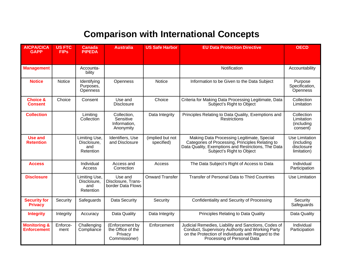#### **Comparison with International Concepts**

| <b>AICPA/CICA</b><br><b>GAPP</b>              | <b>US FTC</b><br><b>FIPs</b> | <b>Canada</b><br><b>PIPEDA</b>                   | <b>Australia</b>                                                 | <b>US Safe Harbor</b>          | <b>EU Data Protection Directive</b>                                                                                                                                                            | <b>OECD</b>                                               |
|-----------------------------------------------|------------------------------|--------------------------------------------------|------------------------------------------------------------------|--------------------------------|------------------------------------------------------------------------------------------------------------------------------------------------------------------------------------------------|-----------------------------------------------------------|
| <b>Management</b>                             |                              | Accounta-<br>bility                              |                                                                  |                                | Notification                                                                                                                                                                                   | Accountability                                            |
| <b>Notice</b>                                 | <b>Notice</b>                | Identifying<br>Purposes,<br>Openness             | Openness                                                         | <b>Notice</b>                  | Information to be Given to the Data Subject                                                                                                                                                    | Purpose<br>Specification,<br>Openness                     |
| <b>Choice &amp;</b><br><b>Consent</b>         | Choice                       | Consent                                          | Use and<br><b>Disclosure</b>                                     | Choice                         | Criteria for Making Data Processing Legitimate, Data<br>Subject's Right to Object                                                                                                              | Collection<br>Limitation                                  |
| <b>Collection</b>                             |                              | Limiting<br>Collection                           | Collection,<br>Sensitive<br>Information,<br>Anonymity            | Data Integrity                 | Principles Relating to Data Quality, Exemptions and<br><b>Restrictions</b>                                                                                                                     | Collection<br>Limitation<br>(including<br>consent)        |
| <b>Use and</b><br><b>Retention</b>            |                              | Limiting Use,<br>Disclosure.<br>and<br>Retention | Identifiers, Use<br>and Disclosure                               | (implied but not<br>specified) | Making Data Processing Legitimate, Special<br>Categories of Processing, Principles Relating to<br>Data Quality, Exemptions and Restrictions, The Data<br>Subject's Right to Object             | Use Limitation<br>(including<br>disclosure<br>limitation) |
| <b>Access</b>                                 |                              | Individual<br>Access                             | Access and<br>Correction                                         | Access                         | The Data Subject's Right of Access to Data                                                                                                                                                     | Individual<br>Participation                               |
| <b>Disclosure</b>                             |                              | Limiting Use,<br>Disclosure,<br>and<br>Retention | Use and<br>Disclosure, Trans-<br>border Data Flows               | <b>Onward Transfer</b>         | Transfer of Personal Data to Third Countries                                                                                                                                                   | <b>Use Limitation</b>                                     |
| <b>Security for</b><br><b>Privacy</b>         | Security                     | Safeguards                                       | Data Security                                                    | Security                       | Confidentiality and Security of Processing                                                                                                                                                     | Security<br>Safeguards                                    |
| <b>Integrity</b>                              | Integrity                    | Accuracy                                         | Data Quality                                                     | Data Integrity                 | Principles Relating to Data Quality                                                                                                                                                            | Data Quality                                              |
| <b>Monitoring &amp;</b><br><b>Enforcement</b> | Enforce-<br>ment             | Challenging<br>Compliance                        | (Enforcement by<br>the Office of the<br>Privacy<br>Commissioner) | Enforcement                    | Judicial Remedies, Liability and Sanctions, Codes of<br>Conduct, Supervisory Authority and Working Party<br>on the Protection of Individuals with Regard to the<br>Processing of Personal Data | Individual<br>Participation                               |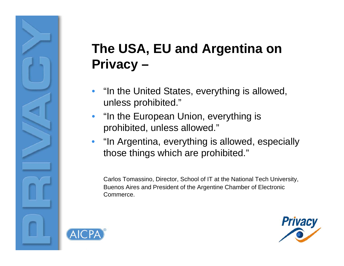### **The USA EU and Argentina on USA, Privacy –**

- • "In the United States, everything is allowed, unless prohibited."
- •"In the European Union, everything is prohibited, unless allowed."
- $\bullet$  "In Argentina, everything is allowed, especially those things which are prohibited."

Carlos Tomassino, Director, School of IT at the National Tech University, Buenos Aires and President of the Argentine Chamber of Electronic Commerce.



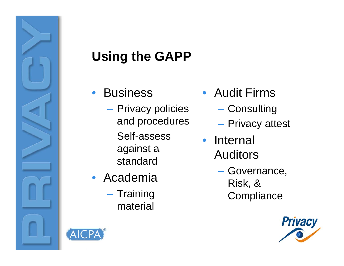

# **Using the GAPP**

- •**Business** 
	- –– Privacy policies and procedures
	- Self-assess against <sup>a</sup> standard
- Academia
	- Training material
- Audit Firms
	- –Consulting
	- –– Privacy attest
- Internal **Auditors** 
	- Governance, Risk, & **Compliance**



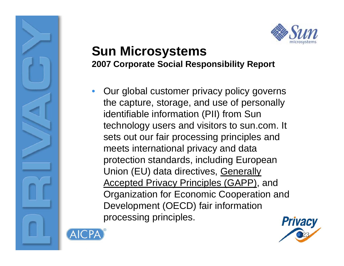

#### **Sun Microsystems 2007 Corporate Social Responsibility Report**

• Our global customer privacy policy governs the capture, storage, and use of personally identifiable information (PII) from Sun technology users and visitors to sun.com. It sets out our fair processing principles and meets international privacy and data protection standards, including European Union (EU) data directives, Generally Accepted Privacy Principles (GAPP), and Organization for Economic Cooperation and Development (OECD) fair information processing principles.



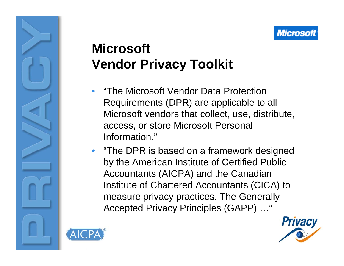### **Microsoft Vendor Privacy Toolkit**

- • "The Microsoft Vendor Data Protection Requirements (DPR) are applicable to all Microsoft vendors that collect, use, distribute, access, or store Microsoft Personal Information."
- "The DPR is based on a framework designed by the American Institute of Certified Public Accountants (AICPA) and the Canadian Institute of Chartered Accountants (CICA) to measure privacy practices. The Generally Accepted Privacy Principles (GAPP) …"



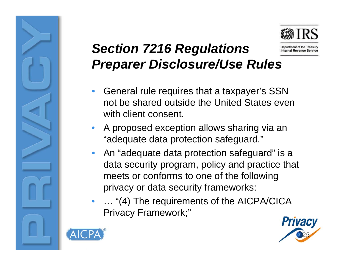

#### *Section 7216 Regulations* Department of the Treasury **Internal Revenue Service** *Preparer Disclosure/Use Rules*

- • General rule requires that a taxpayer's SSN not be shared outside the United States even with client consent.
- • A proposed exception allows sharing via an "adequate data protection safeguard."
- •• An "adequate data protection safeguard" is a data security program, policy and practice that meets or conforms to one of the following privacy or data security frameworks:
- • … "(4) The requirements of the AICPA/CICA Privacy Framework;"



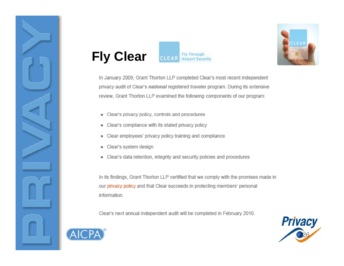





In January 2009, Grant Thorton LLP completed Clear's most recent independent privacy audit of Clear's national registered traveler program. During its extensive review, Grant Thorton LLP examined the following components of our program:

- Clear's privacy policy, controls and procedures
- Clear's compliance with its stated privacy policy
- Clear employees' privacy policy training and compliance
- Clear's system design
- Clear's data retention, integrity and security policies and procedures

In its findings, Grant Thorton LLP certified that we comply with the promises made in our privacy policy and that Clear succeeds in protecting members' personal information.

Clear's next annual independent audit will be completed in February 2010.



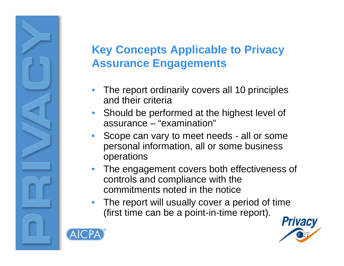#### **Key Concepts Applicable to Privacy Privacy Assurance Engagements**

- • The report ordinarily covers all 10 principles and their criteria
- •Should be performed at the highest level of assurance – "examination"
- • Scope can vary to meet needs - all or some personal information, all or some business operations
- • The engagement covers both effectiveness of controls and com pliance with the commitments noted in the notice
- • The report will usually cover a period of time (first time can be a point-in-time report).



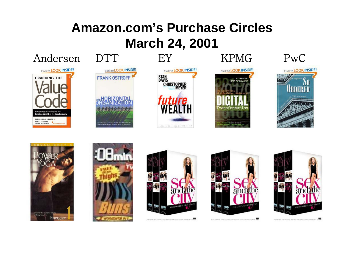#### **Amazon.com's Purchase CirclesMarch 24, 2001**













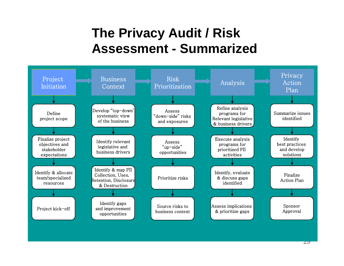#### **The Privacy Audit / Risk Assessment - Summarized**

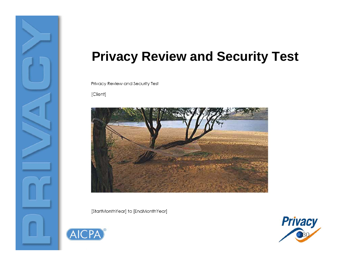

#### **Privacy Review and Security Test**

Privacy Review and Security Test

[Client]



[StartMonthYear] to [EndMonthYear]



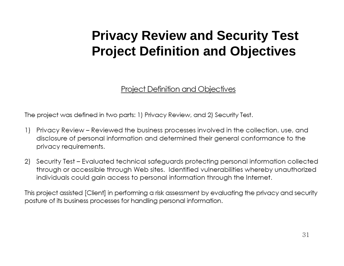#### **Privacy Review and Security Test Project Definition and Objectives**

#### **Project Definition and Objectives**

The project was defined in two parts: 1) Privacy Review, and 2) Security Test.

- 1) Privacy Review Reviewed the business processes involved in the collection, use, and disclosure of personal information and determined their general conformance to the privacy requirements.
- Security Test Evaluated technical safeguards protecting personal information collected 2) through or accessible through Web sites. Identified vulnerabilities whereby unauthorized individuals could gain access to personal information through the Internet.

This project assisted [Client] in performing a risk assessment by evaluating the privacy and security posture of its business processes for handling personal information.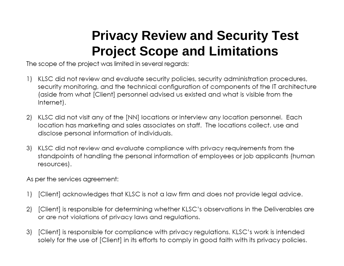#### **Privacy Review and Security Test Project Scope and Limitations**

The scope of the project was limited in several regards:

- KLSC did not review and evaluate security policies, security administration procedures,  $\left| \right|$ security monitoring, and the technical configuration of components of the IT architecture (aside from what [Client] personnel advised us existed and what is visible from the Internet).
- KLSC did not visit any of the [NN] locations or interview any location personnel. Each 2) location has marketing and sales associates on staff. The locations collect, use and disclose personal information of individuals.
- 3) KLSC did not review and evaluate compliance with privacy requirements from the standpoints of handling the personal information of employees or job applicants (human resources).

As per the services agreement:

- $\left( \begin{array}{c} 1 \end{array} \right)$ [Client] acknowledges that KLSC is not a law firm and does not provide legal advice.
- 2) [Client] is responsible for determining whether KLSC's observations in the Deliverables are or are not violations of privacy laws and regulations.
- 3) [Client] is responsible for compliance with privacy regulations. KLSC's work is intended<br>32 solely for the use of [Client] in its efforts to comply in good faith with its privacy policies.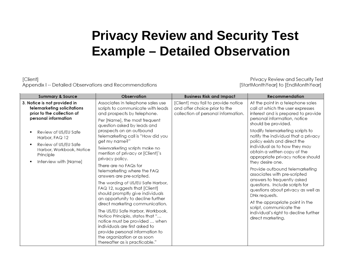#### **Privacy Review and Security Test Example – Detailed Observation**

[Client] Appendix I -- Detailed Observations and Recommendations

Privacy Review and Security Test [StartMonthYear] to [EndMonthYear]

| <b>Summary &amp; Source</b>                                                                                                                 | Observation                                                                                                                                                                                                                                                                                                                                                                                                                                                                                                        | <b>Business Risk and Impact</b>                                                                             | Recommendation                                                                                                                                                                                                                                                                                                                         |
|---------------------------------------------------------------------------------------------------------------------------------------------|--------------------------------------------------------------------------------------------------------------------------------------------------------------------------------------------------------------------------------------------------------------------------------------------------------------------------------------------------------------------------------------------------------------------------------------------------------------------------------------------------------------------|-------------------------------------------------------------------------------------------------------------|----------------------------------------------------------------------------------------------------------------------------------------------------------------------------------------------------------------------------------------------------------------------------------------------------------------------------------------|
| 3. Notice is not provided in<br>telemarketing solicitations<br>prior to the collection of<br>personal information                           | Associates in telephone sales use<br>scripts to communicate with leads<br>and prospects by telephone.                                                                                                                                                                                                                                                                                                                                                                                                              | [Client] may fail to provide notice<br>and offer choice prior to the<br>collection of personal information. | At the point in a telephone sales<br>call at which the user expresses<br>interest and is prepared to provide<br>personal information, notice                                                                                                                                                                                           |
| Review of US/EU Safe<br>$\blacksquare$<br>Harbor, FAQ 12<br>Review of US/EU Safe<br>$\blacksquare$<br>Harbor, Workbook, Notice<br>Principle | Per [Name], the most frequent<br>question asked by leads and<br>prospects on an outbound<br>telemarketing call is "How did you<br>get my name?"<br>Telemarketing scripts make no<br>mention of privacy or [Client]'s<br>privacy policy.                                                                                                                                                                                                                                                                            |                                                                                                             | should be provided.<br>Modify telemarketing scripts to<br>notify the individual that a privacy<br>policy exists and direct the<br>individual as to how they may<br>obtain a written copy of the<br>appropriate privacy notice should                                                                                                   |
| Interview with [Name]<br>٠                                                                                                                  | There are no FAQs for<br>telemarketing where the FAQ<br>answers are pre-scripted.<br>The wording of US/EU Safe Harbor,<br>FAQ 12, suggests that [Client]<br>should promptly give individuals<br>an opportunity to decline further<br>direct marketing communication.<br>The US/EU Safe Harbor, Workbook,<br>Notice Principle, states that "<br>notice must be provided  when<br>individuals are first asked to<br>provide personal information to<br>the organization or as soon<br>thereafter as is practicable." |                                                                                                             | they desire one.<br>Provide outbound telemarketing<br>associates with pre-scripted<br>answers to frequently asked<br>questions. Include scripts for<br>questions about privacy as well as<br>DNx requests.<br>At the appropriate point in the<br>script, communicate the<br>individual's right to decline further<br>direct marketing. |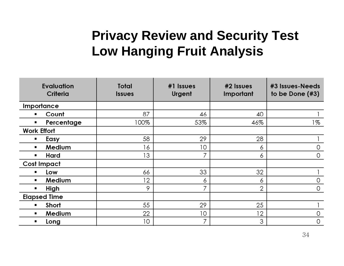#### **Privacy Review and Security Test Low Hanging Fruit Analysis**

| <b>Evaluation</b><br>Criteria | Total<br><b>Issues</b> | $#1$ Issues<br>Urgent | $#2$ Issues<br>Important | #3 Issues-Needs<br>to be Done $(#3)$ |
|-------------------------------|------------------------|-----------------------|--------------------------|--------------------------------------|
| Importance                    |                        |                       |                          |                                      |
| Count                         | 87                     | 46                    | 40                       |                                      |
| Percentage<br>٠               | 100%                   | 53%                   | 46%                      | 1%                                   |
| <b>Work Effort</b>            |                        |                       |                          |                                      |
| Easy<br>٠                     | 58                     | 29                    | 28                       |                                      |
| Medium<br>$\blacksquare$      | 16                     | 10                    | 6                        | 0                                    |
| Hard<br>٠                     | 13                     | 7                     | 6                        | 0                                    |
| <b>Cost Impact</b>            |                        |                       |                          |                                      |
| Low                           | 66                     | 33                    | 32                       |                                      |
| Medium                        | 12                     | 6                     | 6                        | 0                                    |
| High                          | 9                      | 7                     | 2                        | 0                                    |
| <b>Elapsed Time</b>           |                        |                       |                          |                                      |
| Short<br>$\blacksquare$       | 55                     | 29                    | 25                       |                                      |
| Medium<br>$\blacksquare$      | 22                     | 10                    | 12                       | O                                    |
| Long<br>$\blacksquare$        | 10                     | 7                     | 3                        | 0                                    |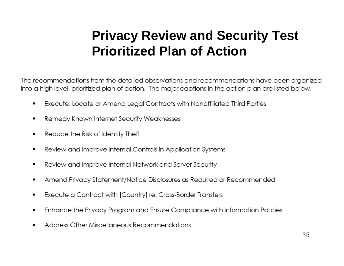#### **Privacy Review and Security Test Prioritized Plan of Action**

The recommendations from the detailed observations and recommendations have been organized into a high level, prioritized plan of action. The major captions in the action plan are listed below.

- Execute, Locate or Amend Legal Contracts with Nonaffiliated Third Parties  $\blacksquare$
- Remedy Known Internet Security Weaknesses  $\blacksquare$
- Reduce the Risk of Identity Theft  $\blacksquare$
- Review and Improve Internal Controls in Application Systems  $\blacksquare$
- Review and Improve Internal Network and Server Security  $\blacksquare$
- Amend Privacy Statement/Notice Disclosures as Required or Recommended  $\blacksquare$
- Execute a Contract with [Country] re: Cross-Border Transfers  $\blacksquare$
- Enhance the Privacy Program and Ensure Compliance with Information Policies  $\blacksquare$
- Address Other Miscellaneous Recommendations  $\blacksquare$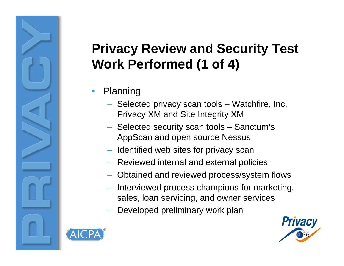### **Privacy Review and Security Test Work Performed (1 of 4)**

- • Planning
	- $-$  Selected privacy scan tools  $-$  Watchfire, Inc.  $\,$ Privacy XM and Site Integrity XM
	- Selected security scan tools Sanctum's AppScan and open source Nessus
	- $-$  Identified web sites for privacy scan
	- Reviewed internal and external policies
	- Obtained and reviewed process/system flows
	- Interviewed process champions for marketing, sales, loan servicing, and owner services
	- Developed preliminary work plan



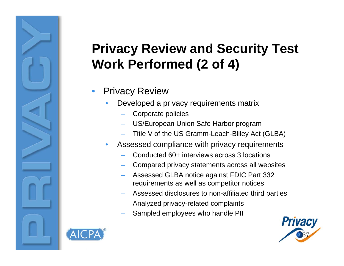#### **Privacy Review and Security Test Work Performed (2 of 4)**

- • Privacy Review
	- • Developed a privacy requirements matrix
		- Corporate policies
		- US/European Union Safe Harbor program
		- Title V of the US Gramm-Leach-Bliley Act (GLBA)
	- • Assessed compliance with privacy requirements
		- Conducted 60+ interviews across 3 locations
		- Compared privacy statements across all websites
		- Assessed GLBA notice against FDIC Part 332 requirements as well as competitor notices
		- Assessed disclosures to non-affiliated third parties
		- Analyzed privacy-related complaints
		- Sampled employees who handle PII



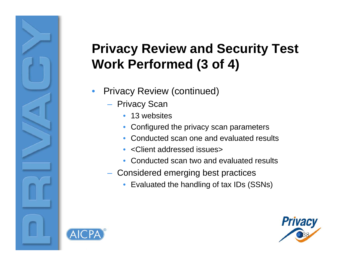### **Privacy Review and Security Test Work Performed (3 of 4)**

- • Privacy Review (continued)
	- Privacy Scan
		- 13 websites
		- Configured the privacy scan parameters
		- Conducted scan one and evaluated results
		- <Client addressed issues>
		- Conducted scan two and evaluated results
	- Considered emerging best practices
		- Evaluated the handling of tax IDs (SSNs)



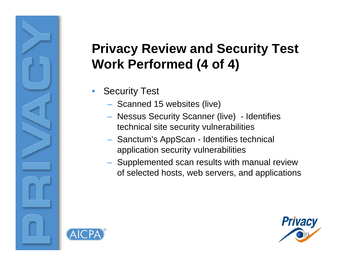### **Privacy Review and Security Test Work Performed (4 of 4)**

- • Security Test
	- $-$  Scanned 15 websites (live)
	- Nessus Security Scanner (live) Identifies technical site security vulnerabilities
	- Sanctum's AppScan Identifies technical application security vulnerabilities
	- Supplemented scan results with manual review of selected hosts, web servers, and applications



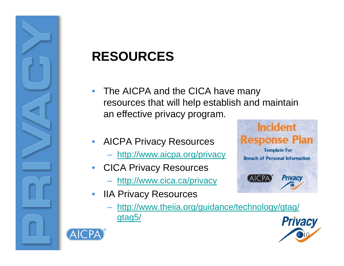

#### **RESOURCES**

- • The AICPA and the CICA have many resources that will help establish and maintain an effective privacy program.
- • AICPA Privacy Resources
	- <u>http://www.aicpa.org/privacy</u>
- • CICA Privacy Resources
	- http://www.cica.ca/privacy
- • IIA Privacy Resources
	- http://www.theiia.org/guidance/technology/gtag/ gtag5/